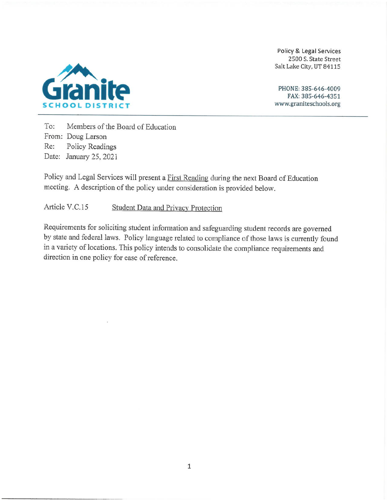Policy & Legal Services 2500 S. State Street Salt Lake City, UT 84115





To: Members of the Board of Education From: Doug Larson Re: Policy Readings Date: January 25, 2021

Policy and Legal Services will present a First Reading during the next Board of Education meeting. A description of the policy under consideration is provided below.

#### Article V.C.15 **Student Data and Privacy Protection**

Requirements for soliciting student information and safeguarding student records are governed by state and federal laws. Policy language related to compliance of those laws is currently found in a variety of locations. This policy intends to consolidate the compliance requirements and direction in one policy for ease of reference.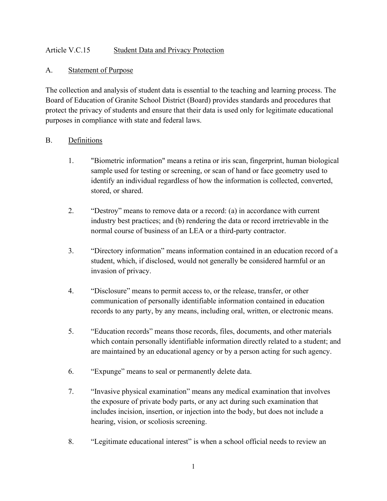## Article V.C.15 Student Data and Privacy Protection

## A. Statement of Purpose

The collection and analysis of student data is essential to the teaching and learning process. The Board of Education of Granite School District (Board) provides standards and procedures that protect the privacy of students and ensure that their data is used only for legitimate educational purposes in compliance with state and federal laws.

# B. Definitions

- 1. "Biometric information" means a retina or iris scan, fingerprint, human biological sample used for testing or screening, or scan of hand or face geometry used to identify an individual regardless of how the information is collected, converted, stored, or shared.
- 2. "Destroy" means to remove data or a record: (a) in accordance with current industry best practices; and (b) rendering the data or record irretrievable in the normal course of business of an LEA or a third-party contractor.
- 3. "Directory information" means information contained in an education record of a student, which, if disclosed, would not generally be considered harmful or an invasion of privacy.
- 4. "Disclosure" means to permit access to, or the release, transfer, or other communication of personally identifiable information contained in education records to any party, by any means, including oral, written, or electronic means.
- 5. "Education records" means those records, files, documents, and other materials which contain personally identifiable information directly related to a student; and are maintained by an educational agency or by a person acting for such agency.
- 6. "Expunge" means to seal or permanently delete data.
- 7. "Invasive physical examination" means any medical examination that involves the exposure of private body parts, or any act during such examination that includes incision, insertion, or injection into the body, but does not include a hearing, vision, or scoliosis screening.
- 8. "Legitimate educational interest" is when a school official needs to review an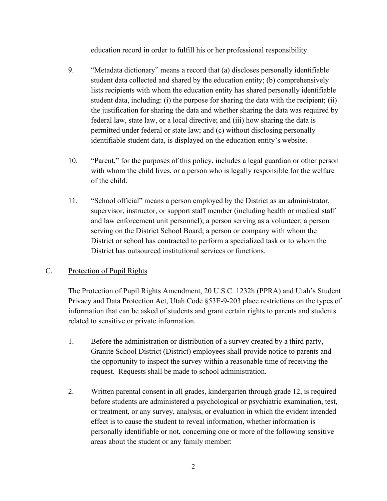education record in order to fulfill his or her professional responsibility.

- 9. "Metadata dictionary" means a record that (a) discloses personally identifiable student data collected and shared by the education entity; (b) comprehensively lists recipients with whom the education entity has shared personally identifiable student data, including: (i) the purpose for sharing the data with the recipient; (ii) the justification for sharing the data and whether sharing the data was required by federal law, state law, or a local directive; and (iii) how sharing the data is permitted under federal or state law; and (c) without disclosing personally identifiable student data, is displayed on the education entity's website.
- 10. "Parent," for the purposes of this policy, includes a legal guardian or other person with whom the child lives, or a person who is legally responsible for the welfare of the child.
- 11. "School official" means a person employed by the District as an administrator, supervisor, instructor, or support staff member (including health or medical staff and law enforcement unit personnel); a person serving as a volunteer; a person serving on the District School Board; a person or company with whom the District or school has contracted to perform a specialized task or to whom the District has outsourced institutional services or functions.

## C. Protection of Pupil Rights

The Protection of Pupil Rights Amendment, 20 U.S.C. 1232h (PPRA) and Utah's Student Privacy and Data Protection Act, Utah Code §53E-9-203 place restrictions on the types of information that can be asked of students and grant certain rights to parents and students related to sensitive or private information.

- 1. Before the administration or distribution of a survey created by a third party, Granite School District (District) employees shall provide notice to parents and the opportunity to inspect the survey within a reasonable time of receiving the request. Requests shall be made to school administration.
- 2. Written parental consent in all grades, kindergarten through grade 12, is required before students are administered a psychological or psychiatric examination, test, or treatment, or any survey, analysis, or evaluation in which the evident intended effect is to cause the student to reveal information, whether information is personally identifiable or not, concerning one or more of the following sensitive areas about the student or any family member: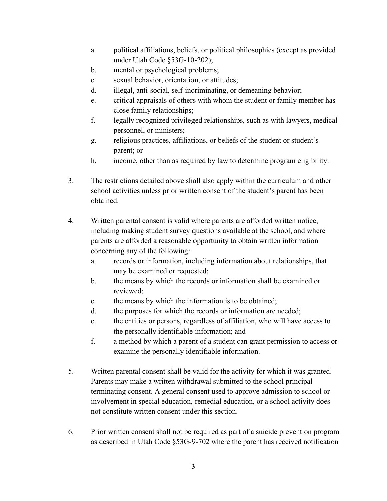- a. political affiliations, beliefs, or political philosophies (except as provided under Utah Code §53G-10-202);
- b. mental or psychological problems;
- c. sexual behavior, orientation, or attitudes;
- d. illegal, anti-social, self-incriminating, or demeaning behavior;
- e. critical appraisals of others with whom the student or family member has close family relationships;
- f. legally recognized privileged relationships, such as with lawyers, medical personnel, or ministers;
- g. religious practices, affiliations, or beliefs of the student or student's parent; or
- h. income, other than as required by law to determine program eligibility.
- 3. The restrictions detailed above shall also apply within the curriculum and other school activities unless prior written consent of the student's parent has been obtained.
- 4. Written parental consent is valid where parents are afforded written notice, including making student survey questions available at the school, and where parents are afforded a reasonable opportunity to obtain written information concerning any of the following:
	- a. records or information, including information about relationships, that may be examined or requested;
	- b. the means by which the records or information shall be examined or reviewed;
	- c. the means by which the information is to be obtained;
	- d. the purposes for which the records or information are needed;
	- e. the entities or persons, regardless of affiliation, who will have access to the personally identifiable information; and
	- f. a method by which a parent of a student can grant permission to access or examine the personally identifiable information.
- 5. Written parental consent shall be valid for the activity for which it was granted. Parents may make a written withdrawal submitted to the school principal terminating consent. A general consent used to approve admission to school or involvement in special education, remedial education, or a school activity does not constitute written consent under this section.
- 6. Prior written consent shall not be required as part of a suicide prevention program as described in Utah Code §53G-9-702 where the parent has received notification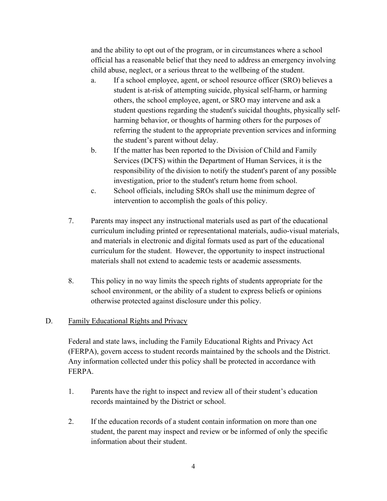and the ability to opt out of the program, or in circumstances where a school official has a reasonable belief that they need to address an emergency involving child abuse, neglect, or a serious threat to the wellbeing of the student.

- a. If a school employee, agent, or school resource officer (SRO) believes a student is at-risk of attempting suicide, physical self-harm, or harming others, the school employee, agent, or SRO may intervene and ask a student questions regarding the student's suicidal thoughts, physically selfharming behavior, or thoughts of harming others for the purposes of referring the student to the appropriate prevention services and informing the student's parent without delay.
- b. If the matter has been reported to the Division of Child and Family Services (DCFS) within the Department of Human Services, it is the responsibility of the division to notify the student's parent of any possible investigation, prior to the student's return home from school.
- c. School officials, including SROs shall use the minimum degree of intervention to accomplish the goals of this policy.
- 7. Parents may inspect any instructional materials used as part of the educational curriculum including printed or representational materials, audio-visual materials, and materials in electronic and digital formats used as part of the educational curriculum for the student. However, the opportunity to inspect instructional materials shall not extend to academic tests or academic assessments.
- 8. This policy in no way limits the speech rights of students appropriate for the school environment, or the ability of a student to express beliefs or opinions otherwise protected against disclosure under this policy.

## D. Family Educational Rights and Privacy

Federal and state laws, including the Family Educational Rights and Privacy Act (FERPA), govern access to student records maintained by the schools and the District. Any information collected under this policy shall be protected in accordance with FERPA.

- 1. Parents have the right to inspect and review all of their student's education records maintained by the District or school.
- 2. If the education records of a student contain information on more than one student, the parent may inspect and review or be informed of only the specific information about their student.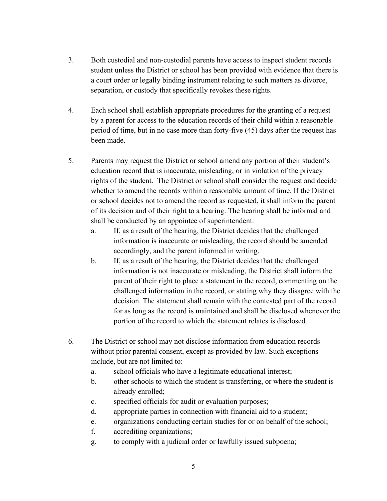- 3. Both custodial and non-custodial parents have access to inspect student records student unless the District or school has been provided with evidence that there is a court order or legally binding instrument relating to such matters as divorce, separation, or custody that specifically revokes these rights.
- 4. Each school shall establish appropriate procedures for the granting of a request by a parent for access to the education records of their child within a reasonable period of time, but in no case more than forty-five (45) days after the request has been made.
- 5. Parents may request the District or school amend any portion of their student's education record that is inaccurate, misleading, or in violation of the privacy rights of the student. The District or school shall consider the request and decide whether to amend the records within a reasonable amount of time. If the District or school decides not to amend the record as requested, it shall inform the parent of its decision and of their right to a hearing. The hearing shall be informal and shall be conducted by an appointee of superintendent.
	- a. If, as a result of the hearing, the District decides that the challenged information is inaccurate or misleading, the record should be amended accordingly, and the parent informed in writing.
	- b. If, as a result of the hearing, the District decides that the challenged information is not inaccurate or misleading, the District shall inform the parent of their right to place a statement in the record, commenting on the challenged information in the record, or stating why they disagree with the decision. The statement shall remain with the contested part of the record for as long as the record is maintained and shall be disclosed whenever the portion of the record to which the statement relates is disclosed.
- 6. The District or school may not disclose information from education records without prior parental consent, except as provided by law. Such exceptions include, but are not limited to:
	- a. school officials who have a legitimate educational interest;
	- b. other schools to which the student is transferring, or where the student is already enrolled;
	- c. specified officials for audit or evaluation purposes;
	- d. appropriate parties in connection with financial aid to a student;
	- e. organizations conducting certain studies for or on behalf of the school;
	- f. accrediting organizations;
	- g. to comply with a judicial order or lawfully issued subpoena;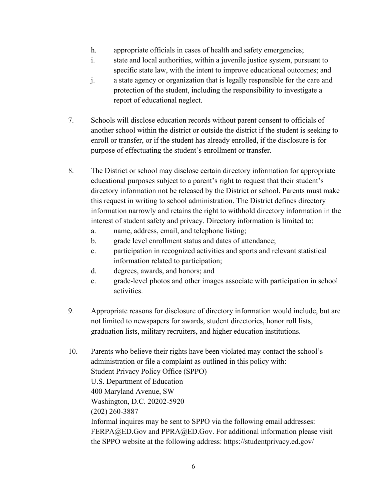- h. appropriate officials in cases of health and safety emergencies;
- i. state and local authorities, within a juvenile justice system, pursuant to specific state law, with the intent to improve educational outcomes; and
- j. a state agency or organization that is legally responsible for the care and protection of the student, including the responsibility to investigate a report of educational neglect.
- 7. Schools will disclose education records without parent consent to officials of another school within the district or outside the district if the student is seeking to enroll or transfer, or if the student has already enrolled, if the disclosure is for purpose of effectuating the student's enrollment or transfer.
- 8. The District or school may disclose certain directory information for appropriate educational purposes subject to a parent's right to request that their student's directory information not be released by the District or school. Parents must make this request in writing to school administration. The District defines directory information narrowly and retains the right to withhold directory information in the interest of student safety and privacy. Directory information is limited to:
	- a. name, address, email, and telephone listing;
	- b. grade level enrollment status and dates of attendance;
	- c. participation in recognized activities and sports and relevant statistical information related to participation;
	- d. degrees, awards, and honors; and
	- e. grade-level photos and other images associate with participation in school activities.
- 9. Appropriate reasons for disclosure of directory information would include, but are not limited to newspapers for awards, student directories, honor roll lists, graduation lists, military recruiters, and higher education institutions.
- 10. Parents who believe their rights have been violated may contact the school's administration or file a complaint as outlined in this policy with: Student Privacy Policy Office (SPPO) U.S. Department of Education 400 Maryland Avenue, SW Washington, D.C. 20202-5920 (202) 260-3887 Informal inquires may be sent to SPPO via the following email addresses: FERPA@ED.Gov and PPRA@ED.Gov. For additional information please visit the SPPO website at the following address: https://studentprivacy.ed.gov/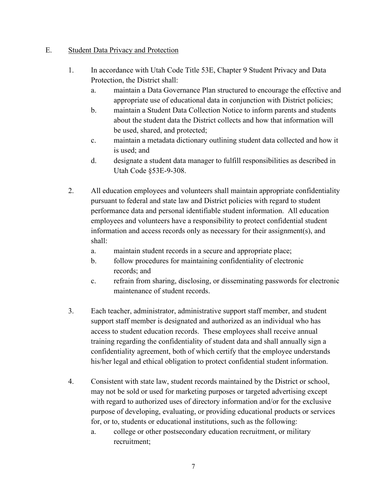## E. Student Data Privacy and Protection

- 1. In accordance with Utah Code Title 53E, Chapter 9 Student Privacy and Data Protection, the District shall:
	- a. maintain a Data Governance Plan structured to encourage the effective and appropriate use of educational data in conjunction with District policies;
	- b. maintain a Student Data Collection Notice to inform parents and students about the student data the District collects and how that information will be used, shared, and protected;
	- c. maintain a metadata dictionary outlining student data collected and how it is used; and
	- d. designate a student data manager to fulfill responsibilities as described in Utah Code §53E-9-308.
- 2. All education employees and volunteers shall maintain appropriate confidentiality pursuant to federal and state law and District policies with regard to student performance data and personal identifiable student information. All education employees and volunteers have a responsibility to protect confidential student information and access records only as necessary for their assignment(s), and shall:
	- a. maintain student records in a secure and appropriate place;
	- b. follow procedures for maintaining confidentiality of electronic records; and
	- c. refrain from sharing, disclosing, or disseminating passwords for electronic maintenance of student records.
- 3. Each teacher, administrator, administrative support staff member, and student support staff member is designated and authorized as an individual who has access to student education records. These employees shall receive annual training regarding the confidentiality of student data and shall annually sign a confidentiality agreement, both of which certify that the employee understands his/her legal and ethical obligation to protect confidential student information.
- 4. Consistent with state law, student records maintained by the District or school, may not be sold or used for marketing purposes or targeted advertising except with regard to authorized uses of directory information and/or for the exclusive purpose of developing, evaluating, or providing educational products or services for, or to, students or educational institutions, such as the following:
	- a. college or other postsecondary education recruitment, or military recruitment;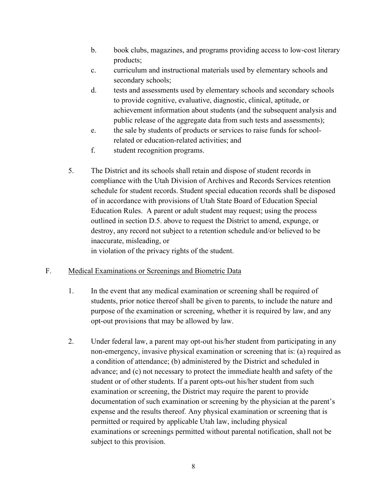- b. book clubs, magazines, and programs providing access to low-cost literary products;
- c. curriculum and instructional materials used by elementary schools and secondary schools;
- d. tests and assessments used by elementary schools and secondary schools to provide cognitive, evaluative, diagnostic, clinical, aptitude, or achievement information about students (and the subsequent analysis and public release of the aggregate data from such tests and assessments);
- e. the sale by students of products or services to raise funds for schoolrelated or education-related activities; and
- f. student recognition programs.
- 5. The District and its schools shall retain and dispose of student records in compliance with the Utah Division of Archives and Records Services retention schedule for student records. Student special education records shall be disposed of in accordance with provisions of Utah State Board of Education Special Education Rules. A parent or adult student may request; using the process outlined in section D.5. above to request the District to amend, expunge, or destroy, any record not subject to a retention schedule and/or believed to be inaccurate, misleading, or in violation of the privacy rights of the student.

## F. Medical Examinations or Screenings and Biometric Data

- 1. In the event that any medical examination or screening shall be required of students, prior notice thereof shall be given to parents, to include the nature and purpose of the examination or screening, whether it is required by law, and any opt-out provisions that may be allowed by law.
- 2. Under federal law, a parent may opt-out his/her student from participating in any non-emergency, invasive physical examination or screening that is: (a) required as a condition of attendance; (b) administered by the District and scheduled in advance; and (c) not necessary to protect the immediate health and safety of the student or of other students. If a parent opts-out his/her student from such examination or screening, the District may require the parent to provide documentation of such examination or screening by the physician at the parent's expense and the results thereof. Any physical examination or screening that is permitted or required by applicable Utah law, including physical examinations or screenings permitted without parental notification, shall not be subject to this provision.